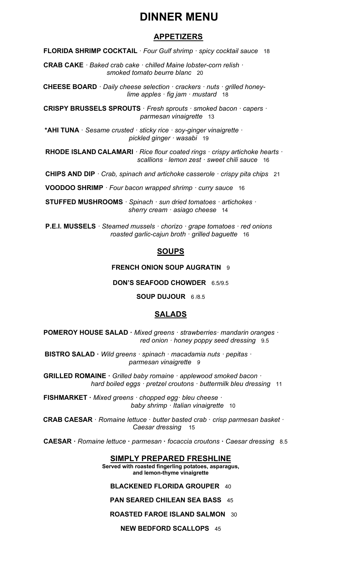# **DINNER MENU**

## **APPETIZERS**

 **FLORIDA SHRIMP COCKTAIL** · *Four Gulf shrimp · spicy cocktail sauce* 18

 **CRAB CAKE** *· Baked crab cake · chilled Maine lobster-corn relish · smoked tomato beurre blanc* 20

 **CHEESE BOARD** *· Daily cheese selection · crackers · nuts · grilled honey lime apples · fig jam · mustard* 18

**CRISPY BRUSSELS SPROUTS** · *Fresh sprouts · smoked bacon · capers · parmesan vinaigrette* 13

**\*AHI TUNA** · *Sesame crusted · sticky rice · soy-ginger vinaigrette · pickled ginger · wasabi* 19

 **RHODE ISLAND CALAMARI** *· Rice flour coated rings · crispy artichoke hearts · scallions · lemon zest · sweet chili sauce* 16

 **CHIPS AND DIP** *· Crab, spinach and artichoke casserole · crispy pita chips* 21

 **VOODOO SHRIMP** *· Four bacon wrapped shrimp · curry sauce* 16

 **STUFFED MUSHROOMS** *· Spinach · sun dried tomatoes · artichokes · sherry cream · asiago cheese* 14

 **P.E.I. MUSSELS** *· Steamed mussels · chorizo · grape tomatoes · red onions roasted garlic-cajun broth · grilled baguette* 16

## **SOUPS**

#### **FRENCH ONION SOUP AUGRATIN** 9

#### **DON'S SEAFOOD CHOWDER** 6.5/9.5

**SOUP DUJOUR** 6 /8.5

## **SALADS**

 **POMEROY HOUSE SALAD ·** *Mixed greens · strawberries· mandarin oranges · red onion · honey poppy seed dressing* 9.5

 **BISTRO SALAD ·** *Wild greens · spinach · macadamia nuts · pepitas · parmesan vinaigrette 9*

**GRILLED ROMAINE ·** *Grilled baby romaine · applewood smoked bacon · hard boiled eggs · pretzel croutons · buttermilk bleu dressing* 11

 **FISHMARKET ·** *Mixed greens · chopped egg· bleu cheese · baby shrimp · Italian vinaigrette* 10

 **CRAB CAESAR** · *Romaine lettuce* · *butter basted crab* · *crisp parmesan basket · Caesar dressing* 15

 **CAESAR ·** *Romaine lettuce* **·** *parmesan* **·** *focaccia croutons* **·** *Caesar dressing* 8.5

## **SIMPLY PREPARED FRESHLINE**

**Served with roasted fingerling potatoes, asparagus, and lemon-thyme vinaigrette**

#### **BLACKENED FLORIDA GROUPER** 40

## **PAN SEARED CHILEAN SEA BASS** 45

## **ROASTED FAROE ISLAND SALMON** 30

**NEW BEDFORD SCALLOPS** 45